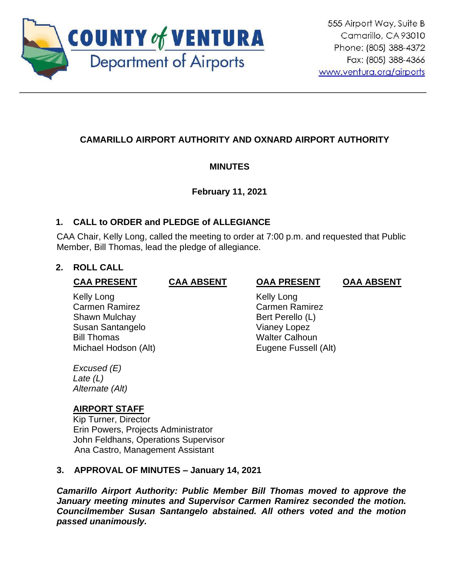

# **CAMARILLO AIRPORT AUTHORITY AND OXNARD AIRPORT AUTHORITY**

## **MINUTES**

## **February 11, 2021**

## **1. CALL to ORDER and PLEDGE of ALLEGIANCE**

CAA Chair, Kelly Long, called the meeting to order at 7:00 p.m. and requested that Public Member, Bill Thomas, lead the pledge of allegiance.

## **2. ROLL CALL**

| <b>CAA PRESENT</b>    | <b>CAA ABSENT</b> | <b>OAA PRESENT</b>    | <b>OAA ABSENT</b> |
|-----------------------|-------------------|-----------------------|-------------------|
| Kelly Long            |                   | Kelly Long            |                   |
| <b>Carmen Ramirez</b> |                   | Carmen Ramirez        |                   |
| Shawn Mulchay         |                   | Bert Perello (L)      |                   |
| Susan Santangelo      |                   | <b>Vianey Lopez</b>   |                   |
| <b>Bill Thomas</b>    |                   | <b>Walter Calhoun</b> |                   |
| Michael Hodson (Alt)  |                   | Eugene Fussell (Alt)  |                   |
|                       |                   |                       |                   |

*Excused (E) Late (L) Alternate (Alt)*

## **AIRPORT STAFF**

Kip Turner, Director Erin Powers, Projects Administrator John Feldhans, Operations Supervisor Ana Castro, Management Assistant

## **3. APPROVAL OF MINUTES – January 14, 2021**

*Camarillo Airport Authority: Public Member Bill Thomas moved to approve the January meeting minutes and Supervisor Carmen Ramirez seconded the motion. Councilmember Susan Santangelo abstained. All others voted and the motion passed unanimously.*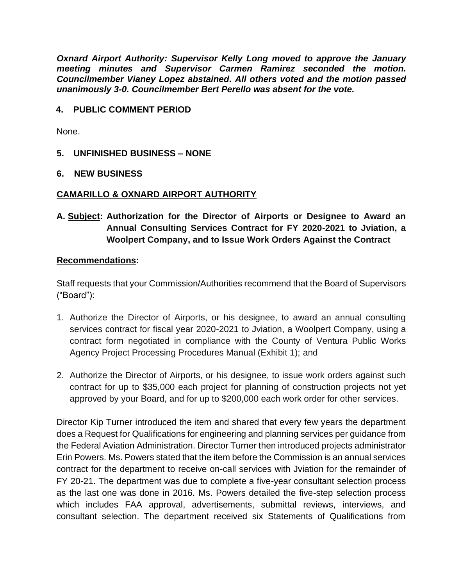*Oxnard Airport Authority: Supervisor Kelly Long moved to approve the January meeting minutes and Supervisor Carmen Ramirez seconded the motion. Councilmember Vianey Lopez abstained. All others voted and the motion passed unanimously 3-0. Councilmember Bert Perello was absent for the vote.* 

### **4. PUBLIC COMMENT PERIOD**

None.

- **5. UNFINISHED BUSINESS – NONE**
- **6. NEW BUSINESS**

### **CAMARILLO & OXNARD AIRPORT AUTHORITY**

**A. Subject: Authorization for the Director of Airports or Designee to Award an Annual Consulting Services Contract for FY 2020-2021 to Jviation, a Woolpert Company, and to Issue Work Orders Against the Contract**

#### **Recommendations:**

Staff requests that your Commission/Authorities recommend that the Board of Supervisors ("Board"):

- 1. Authorize the Director of Airports, or his designee, to award an annual consulting services contract for fiscal year 2020-2021 to Jviation, a Woolpert Company, using a contract form negotiated in compliance with the County of Ventura Public Works Agency Project Processing Procedures Manual (Exhibit 1); and
- 2. Authorize the Director of Airports, or his designee, to issue work orders against such contract for up to \$35,000 each project for planning of construction projects not yet approved by your Board, and for up to \$200,000 each work order for other services.

Director Kip Turner introduced the item and shared that every few years the department does a Request for Qualifications for engineering and planning services per guidance from the Federal Aviation Administration. Director Turner then introduced projects administrator Erin Powers. Ms. Powers stated that the item before the Commission is an annual services contract for the department to receive on-call services with Jviation for the remainder of FY 20-21. The department was due to complete a five-year consultant selection process as the last one was done in 2016. Ms. Powers detailed the five-step selection process which includes FAA approval, advertisements, submittal reviews, interviews, and consultant selection. The department received six Statements of Qualifications from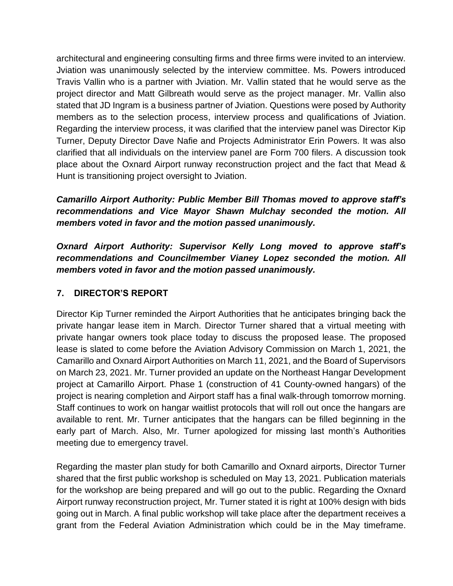architectural and engineering consulting firms and three firms were invited to an interview. Jviation was unanimously selected by the interview committee. Ms. Powers introduced Travis Vallin who is a partner with Jviation. Mr. Vallin stated that he would serve as the project director and Matt Gilbreath would serve as the project manager. Mr. Vallin also stated that JD Ingram is a business partner of Jviation. Questions were posed by Authority members as to the selection process, interview process and qualifications of Jviation. Regarding the interview process, it was clarified that the interview panel was Director Kip Turner, Deputy Director Dave Nafie and Projects Administrator Erin Powers. It was also clarified that all individuals on the interview panel are Form 700 filers. A discussion took place about the Oxnard Airport runway reconstruction project and the fact that Mead & Hunt is transitioning project oversight to Jviation.

*Camarillo Airport Authority: Public Member Bill Thomas moved to approve staff's recommendations and Vice Mayor Shawn Mulchay seconded the motion. All members voted in favor and the motion passed unanimously.*

*Oxnard Airport Authority: Supervisor Kelly Long moved to approve staff's recommendations and Councilmember Vianey Lopez seconded the motion. All members voted in favor and the motion passed unanimously.*

## **7. DIRECTOR'S REPORT**

Director Kip Turner reminded the Airport Authorities that he anticipates bringing back the private hangar lease item in March. Director Turner shared that a virtual meeting with private hangar owners took place today to discuss the proposed lease. The proposed lease is slated to come before the Aviation Advisory Commission on March 1, 2021, the Camarillo and Oxnard Airport Authorities on March 11, 2021, and the Board of Supervisors on March 23, 2021. Mr. Turner provided an update on the Northeast Hangar Development project at Camarillo Airport. Phase 1 (construction of 41 County-owned hangars) of the project is nearing completion and Airport staff has a final walk-through tomorrow morning. Staff continues to work on hangar waitlist protocols that will roll out once the hangars are available to rent. Mr. Turner anticipates that the hangars can be filled beginning in the early part of March. Also, Mr. Turner apologized for missing last month's Authorities meeting due to emergency travel.

Regarding the master plan study for both Camarillo and Oxnard airports, Director Turner shared that the first public workshop is scheduled on May 13, 2021. Publication materials for the workshop are being prepared and will go out to the public. Regarding the Oxnard Airport runway reconstruction project, Mr. Turner stated it is right at 100% design with bids going out in March. A final public workshop will take place after the department receives a grant from the Federal Aviation Administration which could be in the May timeframe.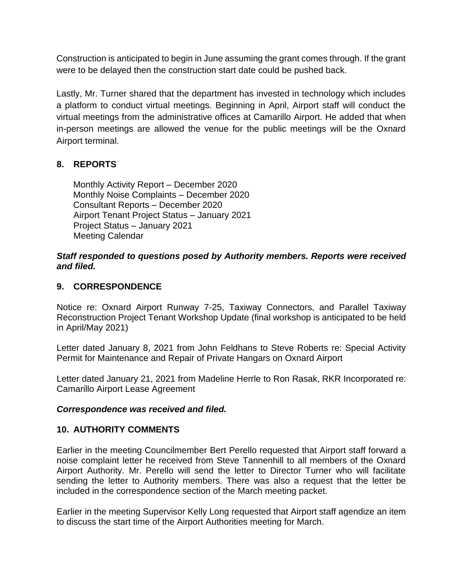Construction is anticipated to begin in June assuming the grant comes through. If the grant were to be delayed then the construction start date could be pushed back.

Lastly, Mr. Turner shared that the department has invested in technology which includes a platform to conduct virtual meetings. Beginning in April, Airport staff will conduct the virtual meetings from the administrative offices at Camarillo Airport. He added that when in-person meetings are allowed the venue for the public meetings will be the Oxnard Airport terminal.

## **8. REPORTS**

Monthly Activity Report – December 2020 Monthly Noise Complaints – December 2020 Consultant Reports – December 2020 Airport Tenant Project Status – January 2021 Project Status – January 2021 Meeting Calendar

#### *Staff responded to questions posed by Authority members. Reports were received and filed.*

### **9. CORRESPONDENCE**

Notice re: Oxnard Airport Runway 7-25, Taxiway Connectors, and Parallel Taxiway Reconstruction Project Tenant Workshop Update (final workshop is anticipated to be held in April/May 2021)

Letter dated January 8, 2021 from John Feldhans to Steve Roberts re: Special Activity Permit for Maintenance and Repair of Private Hangars on Oxnard Airport

Letter dated January 21, 2021 from Madeline Herrle to Ron Rasak, RKR Incorporated re: Camarillo Airport Lease Agreement

#### *Correspondence was received and filed.*

### **10. AUTHORITY COMMENTS**

Earlier in the meeting Councilmember Bert Perello requested that Airport staff forward a noise complaint letter he received from Steve Tannenhill to all members of the Oxnard Airport Authority. Mr. Perello will send the letter to Director Turner who will facilitate sending the letter to Authority members. There was also a request that the letter be included in the correspondence section of the March meeting packet.

Earlier in the meeting Supervisor Kelly Long requested that Airport staff agendize an item to discuss the start time of the Airport Authorities meeting for March.